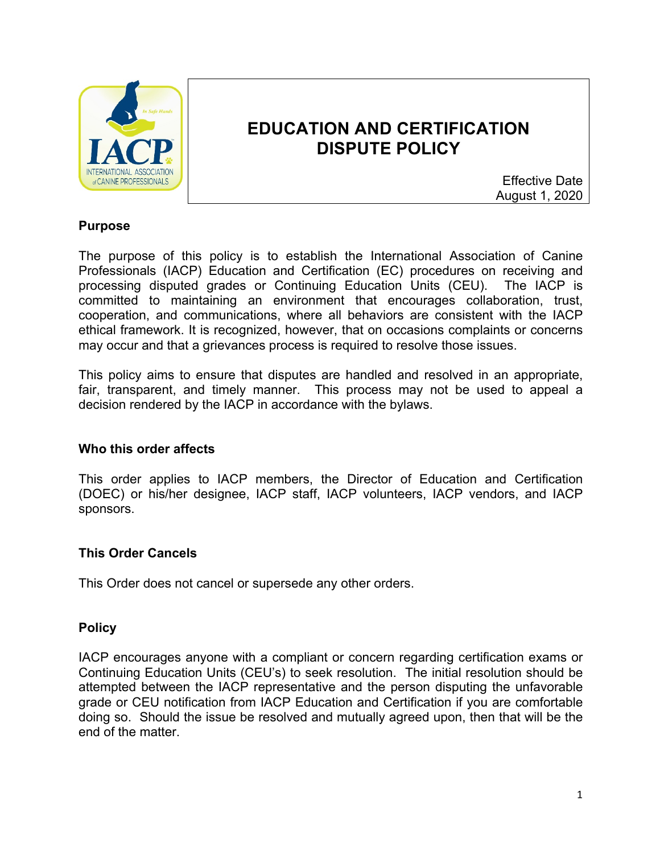

# **EDUCATION AND CERTIFICATION DISPUTE POLICY**

Effective Date August 1, 2020

## **Purpose**

The purpose of this policy is to establish the International Association of Canine Professionals (IACP) Education and Certification (EC) procedures on receiving and processing disputed grades or Continuing Education Units (CEU). The IACP is committed to maintaining an environment that encourages collaboration, trust, cooperation, and communications, where all behaviors are consistent with the IACP ethical framework. It is recognized, however, that on occasions complaints or concerns may occur and that a grievances process is required to resolve those issues.

This policy aims to ensure that disputes are handled and resolved in an appropriate, fair, transparent, and timely manner. This process may not be used to appeal a decision rendered by the IACP in accordance with the bylaws.

### **Who this order affects**

This order applies to IACP members, the Director of Education and Certification (DOEC) or his/her designee, IACP staff, IACP volunteers, IACP vendors, and IACP sponsors.

### **This Order Cancels**

This Order does not cancel or supersede any other orders.

### **Policy**

IACP encourages anyone with a compliant or concern regarding certification exams or Continuing Education Units (CEU's) to seek resolution. The initial resolution should be attempted between the IACP representative and the person disputing the unfavorable grade or CEU notification from IACP Education and Certification if you are comfortable doing so. Should the issue be resolved and mutually agreed upon, then that will be the end of the matter.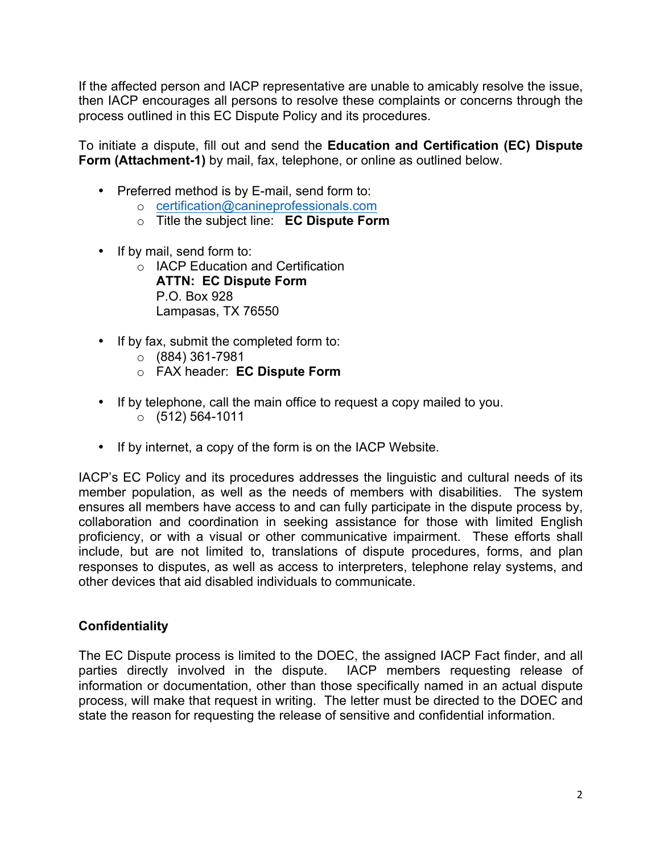If the affected person and IACP representative are unable to amicably resolve the issue, then IACP encourages all persons to resolve these complaints or concerns through the process outlined in this EC Dispute Policy and its procedures.

To initiate a dispute, fill out and send the **Education and Certification (EC) Dispute Form (Attachment-1)** by mail, fax, telephone, or online as outlined below.

- Preferred method is by E-mail, send form to:
	- o certification@canineprofessionals.com
	- o Title the subject line: **EC Dispute Form**
- If by mail, send form to:
	- o IACP Education and Certification **ATTN: EC Dispute Form** P.O. Box 928 Lampasas, TX 76550
- If by fax, submit the completed form to:
	- $\circ$  (884) 361-7981
	- o FAX header: **EC Dispute Form**
- If by telephone, call the main office to request a copy mailed to you.  $\circ$  (512) 564-1011
- If by internet, a copy of the form is on the IACP Website.

IACP's EC Policy and its procedures addresses the linguistic and cultural needs of its member population, as well as the needs of members with disabilities. The system ensures all members have access to and can fully participate in the dispute process by, collaboration and coordination in seeking assistance for those with limited English proficiency, or with a visual or other communicative impairment. These efforts shall include, but are not limited to, translations of dispute procedures, forms, and plan responses to disputes, as well as access to interpreters, telephone relay systems, and other devices that aid disabled individuals to communicate.

## **Confidentiality**

The EC Dispute process is limited to the DOEC, the assigned IACP Fact finder, and all parties directly involved in the dispute. IACP members requesting release of information or documentation, other than those specifically named in an actual dispute process, will make that request in writing. The letter must be directed to the DOEC and state the reason for requesting the release of sensitive and confidential information.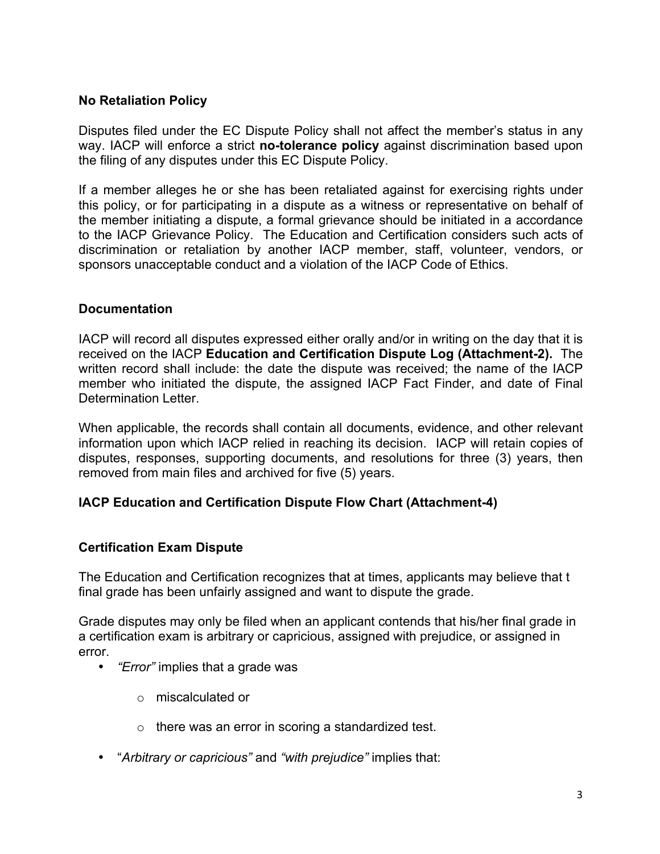## **No Retaliation Policy**

Disputes filed under the EC Dispute Policy shall not affect the member's status in any way. IACP will enforce a strict **no-tolerance policy** against discrimination based upon the filing of any disputes under this EC Dispute Policy.

If a member alleges he or she has been retaliated against for exercising rights under this policy, or for participating in a dispute as a witness or representative on behalf of the member initiating a dispute, a formal grievance should be initiated in a accordance to the IACP Grievance Policy. The Education and Certification considers such acts of discrimination or retaliation by another IACP member, staff, volunteer, vendors, or sponsors unacceptable conduct and a violation of the IACP Code of Ethics.

### **Documentation**

IACP will record all disputes expressed either orally and/or in writing on the day that it is received on the IACP **Education and Certification Dispute Log (Attachment-2).** The written record shall include: the date the dispute was received; the name of the IACP member who initiated the dispute, the assigned IACP Fact Finder, and date of Final Determination Letter.

When applicable, the records shall contain all documents, evidence, and other relevant information upon which IACP relied in reaching its decision. IACP will retain copies of disputes, responses, supporting documents, and resolutions for three (3) years, then removed from main files and archived for five (5) years.

## **IACP Education and Certification Dispute Flow Chart (Attachment-4)**

## **Certification Exam Dispute**

The Education and Certification recognizes that at times, applicants may believe that t final grade has been unfairly assigned and want to dispute the grade.

Grade disputes may only be filed when an applicant contends that his/her final grade in a certification exam is arbitrary or capricious, assigned with prejudice, or assigned in error.

- *"Error"* implies that a grade was
	- o miscalculated or
	- o there was an error in scoring a standardized test.
- "*Arbitrary or capricious"* and *"with prejudice"* implies that: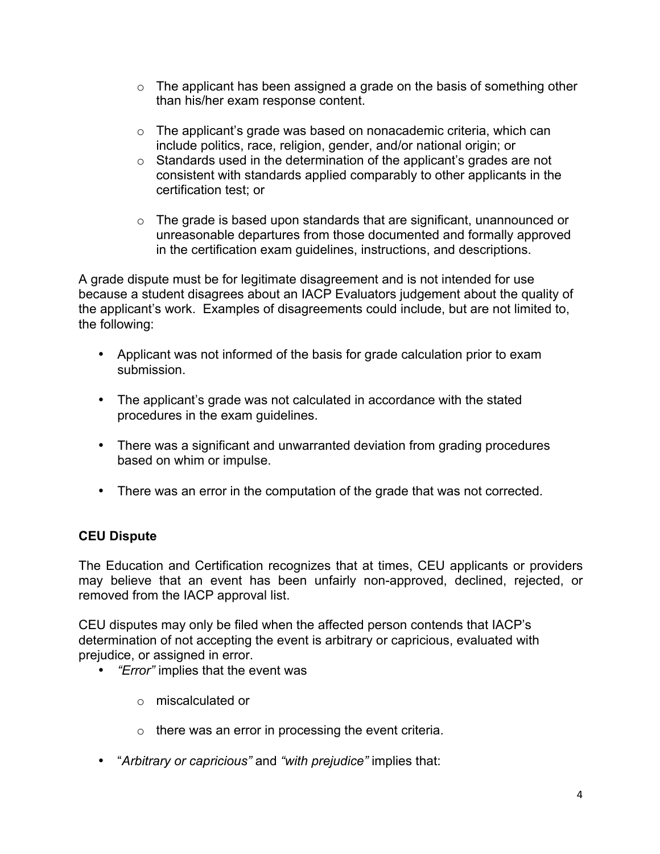- o The applicant has been assigned a grade on the basis of something other than his/her exam response content.
- $\circ$  The applicant's grade was based on nonacademic criteria, which can include politics, race, religion, gender, and/or national origin; or
- o Standards used in the determination of the applicant's grades are not consistent with standards applied comparably to other applicants in the certification test; or
- $\circ$  The grade is based upon standards that are significant, unannounced or unreasonable departures from those documented and formally approved in the certification exam guidelines, instructions, and descriptions.

A grade dispute must be for legitimate disagreement and is not intended for use because a student disagrees about an IACP Evaluators judgement about the quality of the applicant's work. Examples of disagreements could include, but are not limited to, the following:

- Applicant was not informed of the basis for grade calculation prior to exam submission.
- The applicant's grade was not calculated in accordance with the stated procedures in the exam guidelines.
- There was a significant and unwarranted deviation from grading procedures based on whim or impulse.
- There was an error in the computation of the grade that was not corrected.

# **CEU Dispute**

The Education and Certification recognizes that at times, CEU applicants or providers may believe that an event has been unfairly non-approved, declined, rejected, or removed from the IACP approval list.

CEU disputes may only be filed when the affected person contends that IACP's determination of not accepting the event is arbitrary or capricious, evaluated with prejudice, or assigned in error.

- *"Error"* implies that the event was
	- o miscalculated or
	- $\circ$  there was an error in processing the event criteria.
- "*Arbitrary or capricious"* and *"with prejudice"* implies that: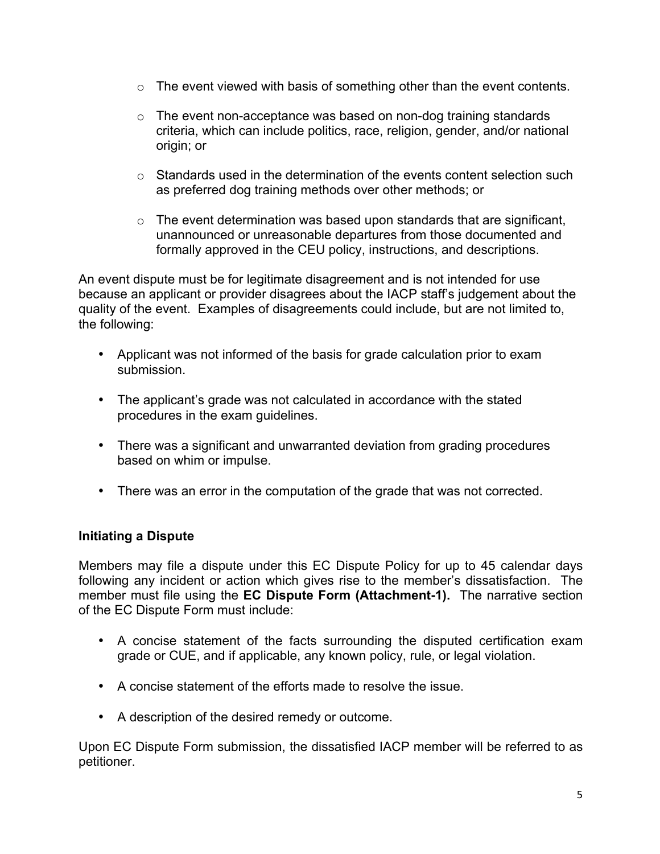- o The event viewed with basis of something other than the event contents.
- $\circ$  The event non-acceptance was based on non-dog training standards criteria, which can include politics, race, religion, gender, and/or national origin; or
- $\circ$  Standards used in the determination of the events content selection such as preferred dog training methods over other methods; or
- $\circ$  The event determination was based upon standards that are significant, unannounced or unreasonable departures from those documented and formally approved in the CEU policy, instructions, and descriptions.

An event dispute must be for legitimate disagreement and is not intended for use because an applicant or provider disagrees about the IACP staff's judgement about the quality of the event. Examples of disagreements could include, but are not limited to, the following:

- Applicant was not informed of the basis for grade calculation prior to exam submission.
- The applicant's grade was not calculated in accordance with the stated procedures in the exam guidelines.
- There was a significant and unwarranted deviation from grading procedures based on whim or impulse.
- There was an error in the computation of the grade that was not corrected.

## **Initiating a Dispute**

Members may file a dispute under this EC Dispute Policy for up to 45 calendar days following any incident or action which gives rise to the member's dissatisfaction. The member must file using the **EC Dispute Form (Attachment-1).** The narrative section of the EC Dispute Form must include:

- A concise statement of the facts surrounding the disputed certification exam grade or CUE, and if applicable, any known policy, rule, or legal violation.
- A concise statement of the efforts made to resolve the issue.
- A description of the desired remedy or outcome.

Upon EC Dispute Form submission, the dissatisfied IACP member will be referred to as petitioner.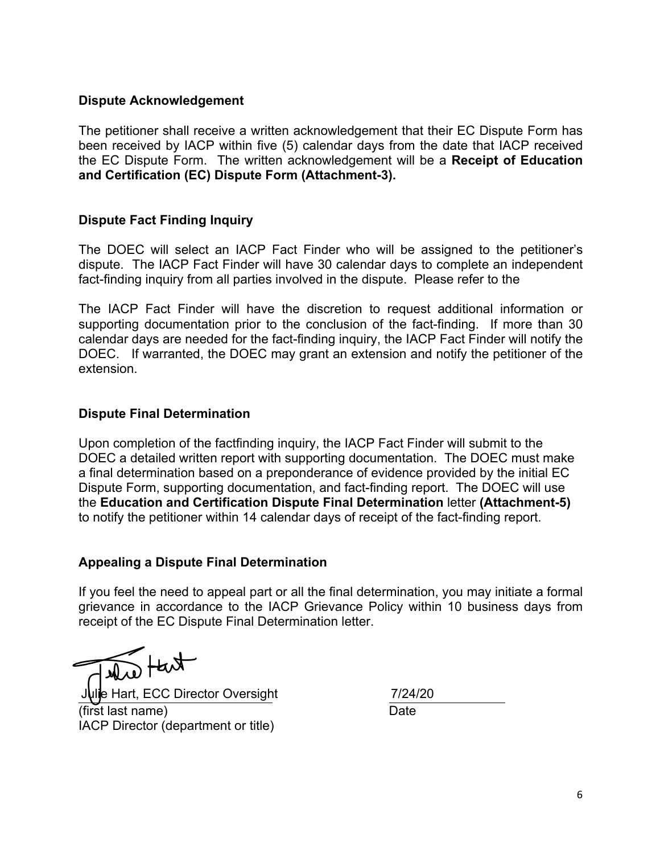## **Dispute Acknowledgement**

The petitioner shall receive a written acknowledgement that their EC Dispute Form has been received by IACP within five (5) calendar days from the date that IACP received the EC Dispute Form. The written acknowledgement will be a **Receipt of Education and Certification (EC) Dispute Form (Attachment-3).**

## **Dispute Fact Finding Inquiry**

The DOEC will select an IACP Fact Finder who will be assigned to the petitioner's dispute. The IACP Fact Finder will have 30 calendar days to complete an independent fact-finding inquiry from all parties involved in the dispute. Please refer to the

The IACP Fact Finder will have the discretion to request additional information or supporting documentation prior to the conclusion of the fact-finding. If more than 30 calendar days are needed for the fact-finding inquiry, the IACP Fact Finder will notify the DOEC. If warranted, the DOEC may grant an extension and notify the petitioner of the extension.

## **Dispute Final Determination**

Upon completion of the factfinding inquiry, the IACP Fact Finder will submit to the DOEC a detailed written report with supporting documentation. The DOEC must make a final determination based on a preponderance of evidence provided by the initial EC Dispute Form, supporting documentation, and fact-finding report. The DOEC will use the **Education and Certification Dispute Final Determination** letter **(Attachment-5)** to notify the petitioner within 14 calendar days of receipt of the fact-finding report.

### **Appealing a Dispute Final Determination**

If you feel the need to appeal part or all the final determination, you may initiate a formal grievance in accordance to the IACP Grievance Policy within 10 business days from receipt of the EC Dispute Final Determination letter.

 $k$ 

Julie Hart, ECC Director Oversight 7/24/20 (first last name) Date IACP Director (department or title)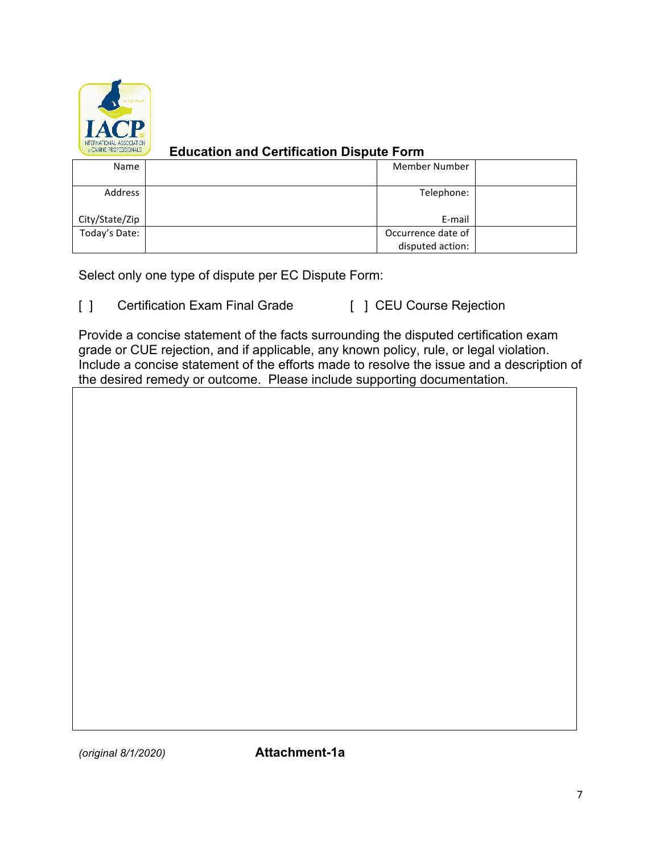

## **Education and Certification Dispute Form**

| Name           | <b>Member Number</b> |  |
|----------------|----------------------|--|
| Address        | Telephone:           |  |
| City/State/Zip | E-mail               |  |
| Today's Date:  | Occurrence date of   |  |
|                | disputed action:     |  |

Select only one type of dispute per EC Dispute Form:

[ ] Certification Exam Final Grade [ ] CEU Course Rejection

Provide a concise statement of the facts surrounding the disputed certification exam grade or CUE rejection, and if applicable, any known policy, rule, or legal violation. Include a concise statement of the efforts made to resolve the issue and a description of the desired remedy or outcome. Please include supporting documentation.

*(original 8/1/2020)* **Attachment-1a**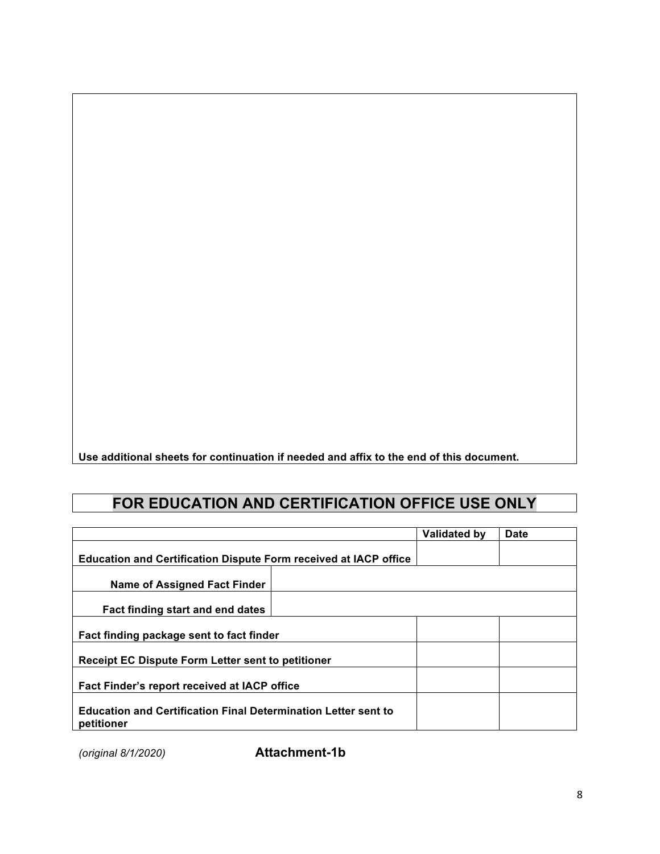**Use additional sheets for continuation if needed and affix to the end of this document.** 

# **FOR EDUCATION AND CERTIFICATION OFFICE USE ONLY**

|                                                                                     | Validated by | Date |
|-------------------------------------------------------------------------------------|--------------|------|
| <b>Education and Certification Dispute Form received at IACP office</b>             |              |      |
| <b>Name of Assigned Fact Finder</b>                                                 |              |      |
| Fact finding start and end dates                                                    |              |      |
| Fact finding package sent to fact finder                                            |              |      |
| <b>Receipt EC Dispute Form Letter sent to petitioner</b>                            |              |      |
| Fact Finder's report received at IACP office                                        |              |      |
| <b>Education and Certification Final Determination Letter sent to</b><br>petitioner |              |      |

*(original 8/1/2020)* **Attachment-1b**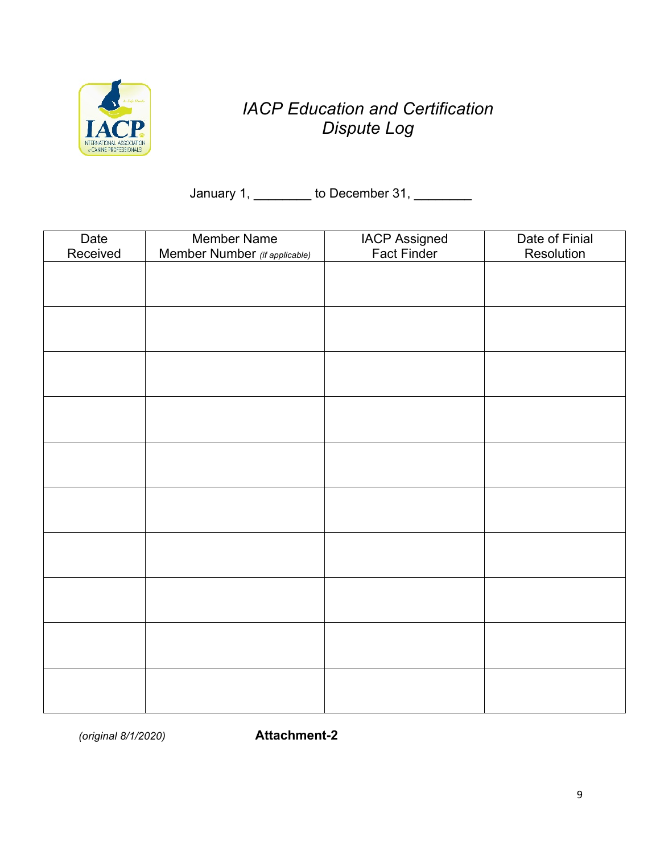

# *IACP Education and Certification Dispute Log*

January 1, \_\_\_\_\_\_\_\_ to December 31, \_\_\_\_\_\_\_\_

| Date<br>Received | Member Name<br>Member Number (if applicable) | <b>IACP Assigned</b><br>Fact Finder | Date of Finial<br>Resolution |
|------------------|----------------------------------------------|-------------------------------------|------------------------------|
|                  |                                              |                                     |                              |
|                  |                                              |                                     |                              |
|                  |                                              |                                     |                              |
|                  |                                              |                                     |                              |
|                  |                                              |                                     |                              |
|                  |                                              |                                     |                              |
|                  |                                              |                                     |                              |
|                  |                                              |                                     |                              |
|                  |                                              |                                     |                              |
|                  |                                              |                                     |                              |
|                  |                                              |                                     |                              |
|                  |                                              |                                     |                              |
|                  |                                              |                                     |                              |
|                  |                                              |                                     |                              |
|                  |                                              |                                     |                              |
|                  |                                              |                                     |                              |
|                  |                                              |                                     |                              |
|                  |                                              |                                     |                              |

*(original 8/1/2020)* **Attachment-2**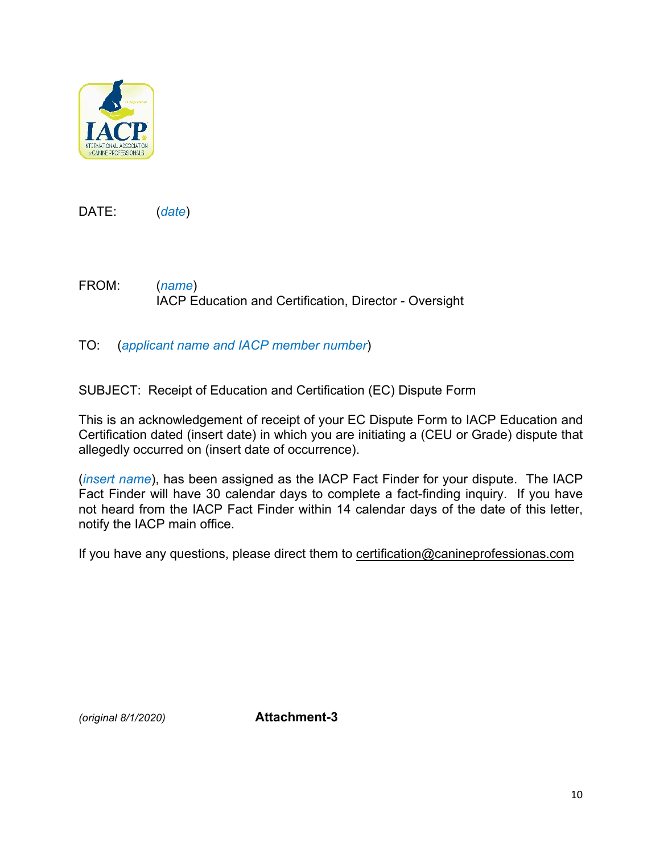

DATE: (*date*)

FROM: (*name*) IACP Education and Certification, Director - Oversight

TO: (*applicant name and IACP member number*)

SUBJECT: Receipt of Education and Certification (EC) Dispute Form

This is an acknowledgement of receipt of your EC Dispute Form to IACP Education and Certification dated (insert date) in which you are initiating a (CEU or Grade) dispute that allegedly occurred on (insert date of occurrence).

(*insert name*), has been assigned as the IACP Fact Finder for your dispute. The IACP Fact Finder will have 30 calendar days to complete a fact-finding inquiry. If you have not heard from the IACP Fact Finder within 14 calendar days of the date of this letter, notify the IACP main office.

If you have any questions, please direct them to certification@canineprofessionas.com

*(original 8/1/2020)* **Attachment-3**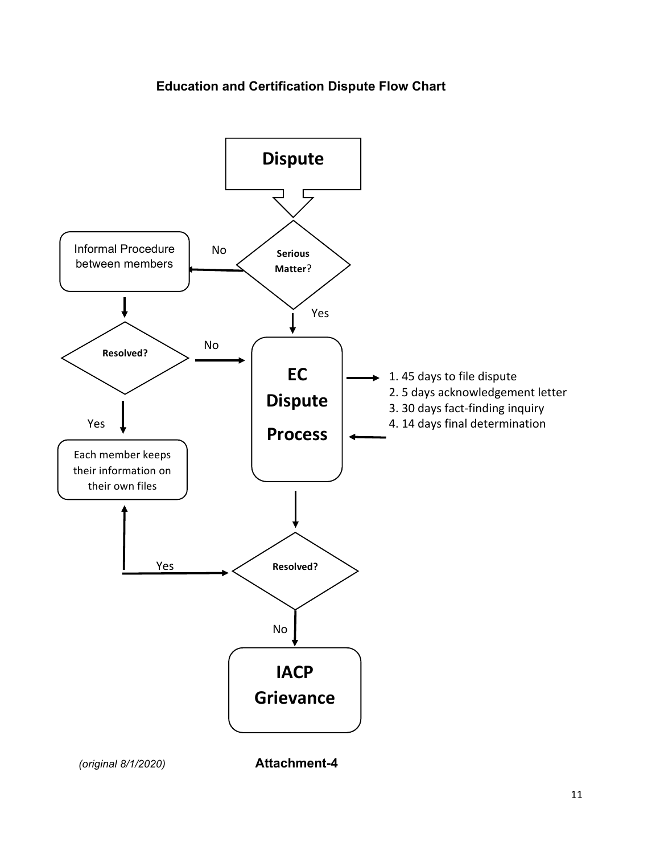# **Education and Certification Dispute Flow Chart**